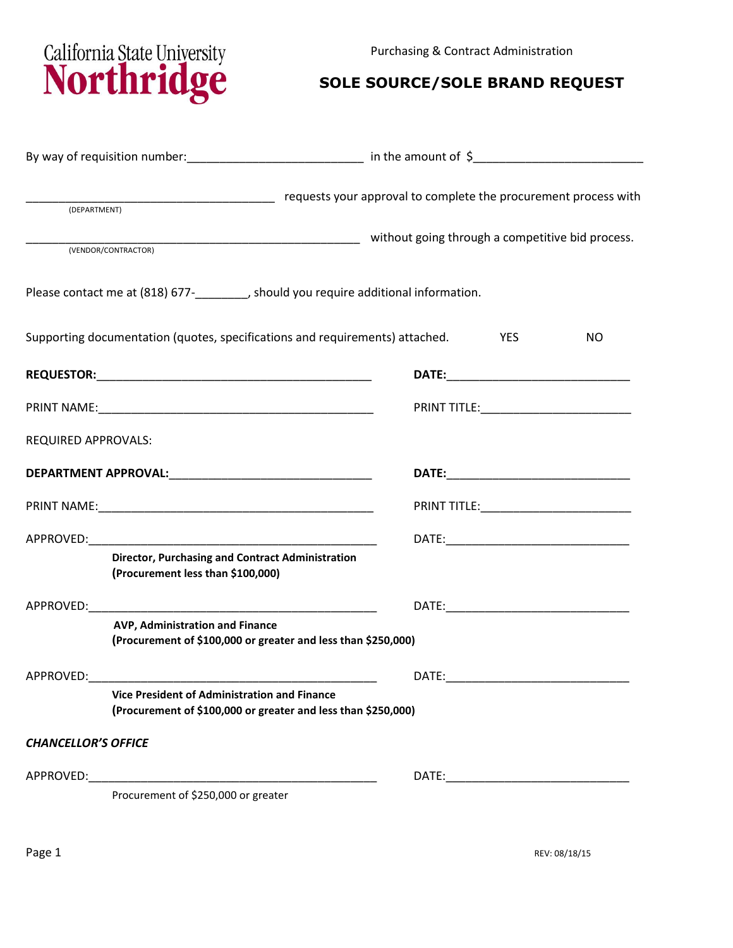Purchasing & Contract Administration



## **SOLE SOURCE/SOLE BRAND REQUEST**

| (DEPARTMENT)               | complete the procurement process with the complete the procurement process with                               |                                                  |                                           |    |  |
|----------------------------|---------------------------------------------------------------------------------------------------------------|--------------------------------------------------|-------------------------------------------|----|--|
|                            | (VENDOR/CONTRACTOR)                                                                                           | without going through a competitive bid process. |                                           |    |  |
|                            | Please contact me at (818) 677-<br>__________, should you require additional information.                     |                                                  |                                           |    |  |
|                            | Supporting documentation (quotes, specifications and requirements) attached.                                  |                                                  | YES                                       | NO |  |
|                            |                                                                                                               |                                                  |                                           |    |  |
|                            |                                                                                                               |                                                  | PRINT TITLE:_____________________________ |    |  |
| REQUIRED APPROVALS:        |                                                                                                               |                                                  |                                           |    |  |
|                            |                                                                                                               |                                                  |                                           |    |  |
|                            |                                                                                                               | PRINT TITLE:______________________________       |                                           |    |  |
|                            |                                                                                                               |                                                  |                                           |    |  |
|                            | Director, Purchasing and Contract Administration<br>(Procurement less than \$100,000)                         |                                                  |                                           |    |  |
|                            |                                                                                                               |                                                  |                                           |    |  |
|                            | AVP, Administration and Finance<br>(Procurement of \$100,000 or greater and less than \$250,000)              |                                                  |                                           |    |  |
| APPROVED:                  |                                                                                                               | DATE:                                            |                                           |    |  |
|                            | Vice President of Administration and Finance<br>(Procurement of \$100,000 or greater and less than \$250,000) |                                                  |                                           |    |  |
| <b>CHANCELLOR'S OFFICE</b> |                                                                                                               |                                                  |                                           |    |  |
|                            |                                                                                                               |                                                  |                                           |    |  |
|                            | Procurement of \$250,000 or greater                                                                           |                                                  |                                           |    |  |